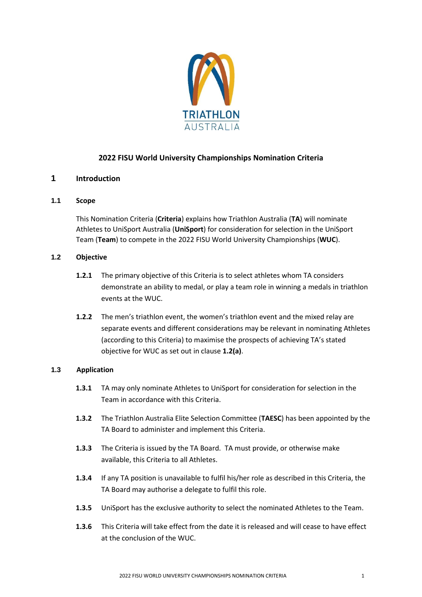

# **2022 FISU World University Championships Nomination Criteria**

# **1 Introduction**

# **1.1 Scope**

This Nomination Criteria (**Criteria**) explains how Triathlon Australia (**TA**) will nominate Athletes to UniSport Australia (**UniSport**) for consideration for selection in the UniSport Team (**Team**) to compete in the 2022 FISU World University Championships (**WUC**).

# **1.2 Objective**

- **1.2.1** The primary objective of this Criteria is to select athletes whom TA considers demonstrate an ability to medal, or play a team role in winning a medals in triathlon events at the WUC.
- **1.2.2** The men's triathlon event, the women's triathlon event and the mixed relay are separate events and different considerations may be relevant in nominating Athletes (according to this Criteria) to maximise the prospects of achieving TA's stated objective for WUC as set out in clause **1.2(a)**.

#### **1.3 Application**

- **1.3.1** TA may only nominate Athletes to UniSport for consideration for selection in the Team in accordance with this Criteria.
- **1.3.2** The Triathlon Australia Elite Selection Committee (**TAESC**) has been appointed by the TA Board to administer and implement this Criteria.
- **1.3.3** The Criteria is issued by the TA Board. TA must provide, or otherwise make available, this Criteria to all Athletes.
- **1.3.4** If any TA position is unavailable to fulfil his/her role as described in this Criteria, the TA Board may authorise a delegate to fulfil this role.
- **1.3.5** UniSport has the exclusive authority to select the nominated Athletes to the Team.
- **1.3.6** This Criteria will take effect from the date it is released and will cease to have effect at the conclusion of the WUC.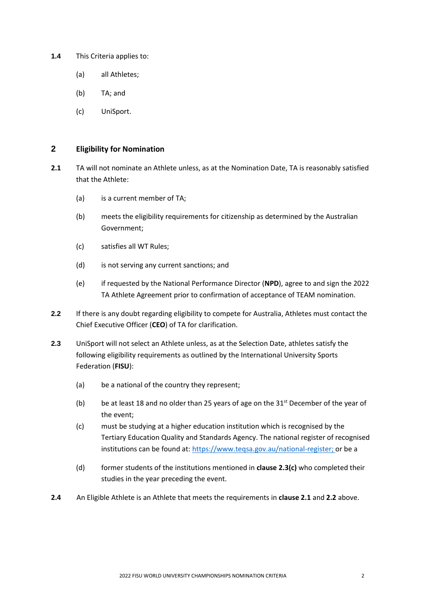- **1.4** This Criteria applies to:
	- (a) all Athletes;
	- (b) TA; and
	- (c) UniSport.

# **2 Eligibility for Nomination**

- **2.1** TA will not nominate an Athlete unless, as at the Nomination Date, TA is reasonably satisfied that the Athlete:
	- (a) is a current member of TA;
	- (b) meets the eligibility requirements for citizenship as determined by the Australian Government;
	- (c) satisfies all WT Rules;
	- (d) is not serving any current sanctions; and
	- (e) if requested by the National Performance Director (**NPD**), agree to and sign the 2022 TA Athlete Agreement prior to confirmation of acceptance of TEAM nomination.
- **2.2** If there is any doubt regarding eligibility to compete for Australia, Athletes must contact the Chief Executive Officer (**CEO**) of TA for clarification.
- **2.3** UniSport will not select an Athlete unless, as at the Selection Date, athletes satisfy the following eligibility requirements as outlined by the International University Sports Federation (**FISU**):
	- (a) be a national of the country they represent;
	- (b) be at least 18 and no older than 25 years of age on the  $31<sup>st</sup>$  December of the year of the event;
	- (c) must be studying at a higher education institution which is recognised by the Tertiary Education Quality and Standards Agency. The national register of recognised institutions can be found at: [https://www.teqsa.gov.au/national-register;](https://www.teqsa.gov.au/national-register) or be a
	- (d) former students of the institutions mentioned in **clause 2.3(c)** who completed their studies in the year preceding the event.
- **2.4** An Eligible Athlete is an Athlete that meets the requirements in **clause 2.1** and **2.2** above.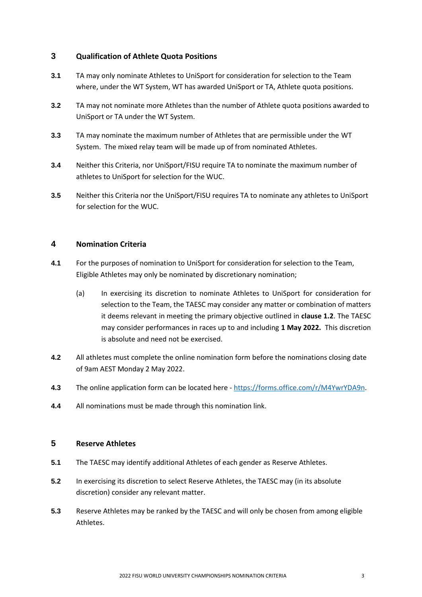# **3 Qualification of Athlete Quota Positions**

- **3.1** TA may only nominate Athletes to UniSport for consideration for selection to the Team where, under the WT System, WT has awarded UniSport or TA, Athlete quota positions.
- **3.2** TA may not nominate more Athletes than the number of Athlete quota positions awarded to UniSport or TA under the WT System.
- **3.3** TA may nominate the maximum number of Athletes that are permissible under the WT System. The mixed relay team will be made up of from nominated Athletes.
- **3.4** Neither this Criteria, nor UniSport/FISU require TA to nominate the maximum number of athletes to UniSport for selection for the WUC.
- **3.5** Neither this Criteria nor the UniSport/FISU requires TA to nominate any athletes to UniSport for selection for the WUC.

# **4 Nomination Criteria**

- **4.1** For the purposes of nomination to UniSport for consideration for selection to the Team, Eligible Athletes may only be nominated by discretionary nomination;
	- (a) In exercising its discretion to nominate Athletes to UniSport for consideration for selection to the Team, the TAESC may consider any matter or combination of matters it deems relevant in meeting the primary objective outlined in **clause 1.2**. The TAESC may consider performances in races up to and including **1 May 2022.** This discretion is absolute and need not be exercised.
- **4.2** All athletes must complete the online nomination form before the nominations closing date of 9am AEST Monday 2 May 2022.
- **4.3** The online application form can be located here [https://forms.office.com/r/M4YwrYDA9n.](https://forms.office.com/r/M4YwrYDA9n)
- **4.4** All nominations must be made through this nomination link.

### **5 Reserve Athletes**

- **5.1** The TAESC may identify additional Athletes of each gender as Reserve Athletes.
- **5.2** In exercising its discretion to select Reserve Athletes, the TAESC may (in its absolute discretion) consider any relevant matter.
- **5.3** Reserve Athletes may be ranked by the TAESC and will only be chosen from among eligible Athletes.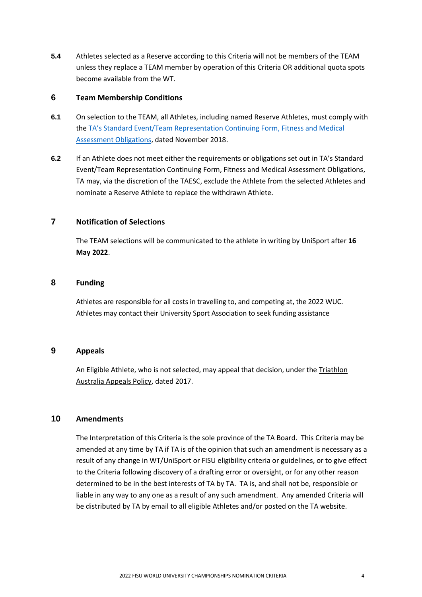**5.4** Athletes selected as a Reserve according to this Criteria will not be members of the TEAM unless they replace a TEAM member by operation of this Criteria OR additional quota spots become available from the WT.

#### **6 Team Membership Conditions**

- **6.1** On selection to the TEAM, all Athletes, including named Reserve Athletes, must comply with the TA's Standard [Event/Team Representation Continuing Form, Fitness and Medical](http://www.triathlon.org.au/Assets/Triathlon+Australia+Digital+Assets/Athlete+Fitness+and+Medical+Obligations.pdf)  [Assessment Obligations,](http://www.triathlon.org.au/Assets/Triathlon+Australia+Digital+Assets/Athlete+Fitness+and+Medical+Obligations.pdf) dated November 2018.
- **6.2** If an Athlete does not meet either the requirements or obligations set out in TA's Standard Event/Team Representation Continuing Form, Fitness and Medical Assessment Obligations, TA may, via the discretion of the TAESC, exclude the Athlete from the selected Athletes and nominate a Reserve Athlete to replace the withdrawn Athlete.

# **7 Notification of Selections**

The TEAM selections will be communicated to the athlete in writing by UniSport after **16 May 2022**.

#### **8 Funding**

Athletes are responsible for all costs in travelling to, and competing at, the 2022 WUC. Athletes may contact their University Sport Association to seek funding assistance

#### **9 Appeals**

An Eligible Athlete, who is not selected, may appeal that decision, under the [Triathlon](http://www.triathlon.org.au/Assets/Triathlon+Australia+Digital+Assets/2017+Triathlon+Australia+Appeals+Policy.pdf)  [Australia Appeals Policy,](http://www.triathlon.org.au/Assets/Triathlon+Australia+Digital+Assets/2017+Triathlon+Australia+Appeals+Policy.pdf) dated 2017.

# **10 Amendments**

The Interpretation of this Criteria is the sole province of the TA Board. This Criteria may be amended at any time by TA if TA is of the opinion that such an amendment is necessary as a result of any change in WT/UniSport or FISU eligibility criteria or guidelines, or to give effect to the Criteria following discovery of a drafting error or oversight, or for any other reason determined to be in the best interests of TA by TA. TA is, and shall not be, responsible or liable in any way to any one as a result of any such amendment. Any amended Criteria will be distributed by TA by email to all eligible Athletes and/or posted on the TA website.